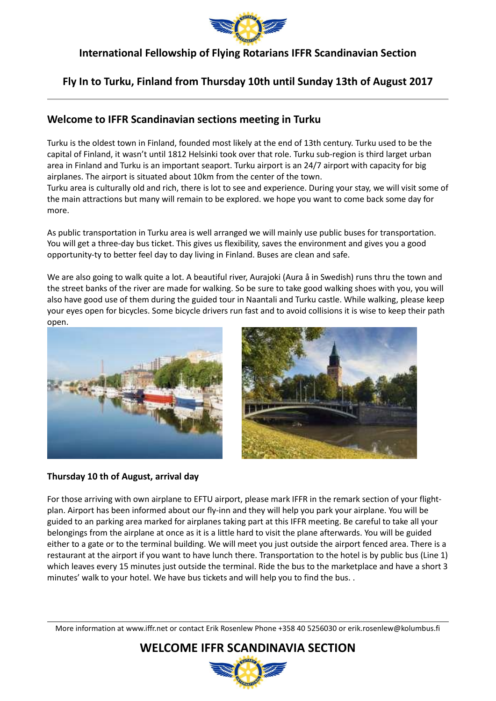

### **Fly In to Turku, Finland from Thursday 10th until Sunday 13th of August 2017**

### **Welcome to IFFR Scandinavian sections meeting in Turku**

Turku is the oldest town in Finland, founded most likely at the end of 13th century. Turku used to be the capital of Finland, it wasn't until 1812 Helsinki took over that role. Turku sub-region is third larget urban area in Finland and Turku is an important seaport. Turku airport is an 24/7 airport with capacity for big airplanes. The airport is situated about 10km from the center of the town.

Turku area is culturally old and rich, there is lot to see and experience. During your stay, we will visit some of the main attractions but many will remain to be explored. we hope you want to come back some day for more.

As public transportation in Turku area is well arranged we will mainly use public buses for transportation. You will get a three-day bus ticket. This gives us flexibility, saves the environment and gives you a good opportunity-ty to better feel day to day living in Finland. Buses are clean and safe.

We are also going to walk quite a lot. A beautiful river, Aurajoki (Aura å in Swedish) runs thru the town and the street banks of the river are made for walking. So be sure to take good walking shoes with you, you will also have good use of them during the guided tour in Naantali and Turku castle. While walking, please keep your eyes open for bicycles. Some bicycle drivers run fast and to avoid collisions it is wise to keep their path open.





#### **Thursday 10 th of August, arrival day**

 $\overline{a}$ 

For those arriving with own airplane to EFTU airport, please mark IFFR in the remark section of your flightplan. Airport has been informed about our fly-inn and they will help you park your airplane. You will be guided to an parking area marked for airplanes taking part at this IFFR meeting. Be careful to take all your belongings from the airplane at once as it is a little hard to visit the plane afterwards. You will be guided either to a gate or to the terminal building. We will meet you just outside the airport fenced area. There is a restaurant at the airport if you want to have lunch there. Transportation to the hotel is by public bus (Line 1) which leaves every 15 minutes just outside the terminal. Ride the bus to the marketplace and have a short 3 minutes' walk to your hotel. We have bus tickets and will help you to find the bus. .

 $\overline{\phantom{a}}$ 

More information at www.iffr.net or contact Erik Rosenlew Phone +358 40 5256030 or erik.rosenlew@kolumbus.fi

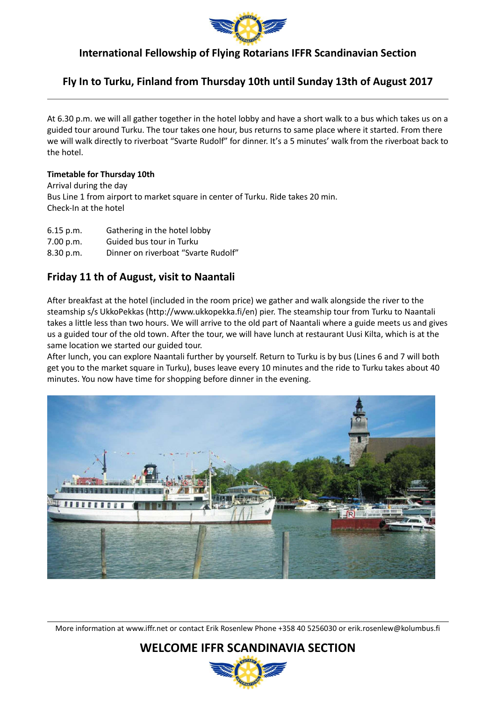

### **Fly In to Turku, Finland from Thursday 10th until Sunday 13th of August 2017**

At 6.30 p.m. we will all gather together in the hotel lobby and have a short walk to a bus which takes us on a guided tour around Turku. The tour takes one hour, bus returns to same place where it started. From there we will walk directly to riverboat "Svarte Rudolf" for dinner. It's a 5 minutes' walk from the riverboat back to the hotel.

#### **Timetable for Thursday 10th**

 $\overline{a}$ 

Arrival during the day Bus Line 1 from airport to market square in center of Turku. Ride takes 20 min. Check-In at the hotel

- 6.15 p.m. Gathering in the hotel lobby
- 7.00 p.m. Guided bus tour in Turku
- 8.30 p.m. Dinner on riverboat "Svarte Rudolf"

### **Friday 11 th of August, visit to Naantali**

After breakfast at the hotel (included in the room price) we gather and walk alongside the river to the steamship s/s UkkoPekkas (http://www.ukkopekka.fi/en) pier. The steamship tour from Turku to Naantali takes a little less than two hours. We will arrive to the old part of Naantali where a guide meets us and gives us a guided tour of the old town. After the tour, we will have lunch at restaurant Uusi Kilta, which is at the same location we started our guided tour.

After lunch, you can explore Naantali further by yourself. Return to Turku is by bus (Lines 6 and 7 will both get you to the market square in Turku), buses leave every 10 minutes and the ride to Turku takes about 40 minutes. You now have time for shopping before dinner in the evening.



More information at www.iffr.net or contact Erik Rosenlew Phone +358 40 5256030 or erik.rosenlew@kolumbus.fi

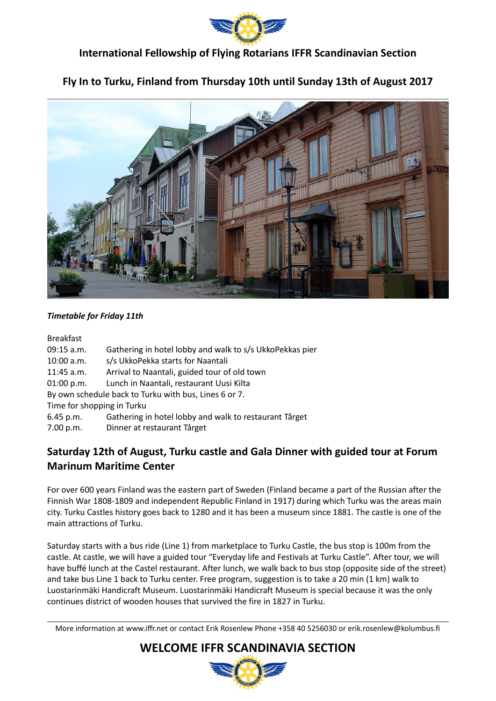

# **Fly In to Turku, Finland from Thursday 10th until Sunday 13th of August 2017**



#### *Timetable for Friday 11th*

#### Breakfast

 $\overline{a}$ 

- 09:15 a.m. Gathering in hotel lobby and walk to s/s UkkoPekkas pier
- 10:00 a.m. s/s UkkoPekka starts for Naantali
- 11:45 a.m. Arrival to Naantali, guided tour of old town
- 01:00 p.m. Lunch in Naantali, restaurant Uusi Kilta
- By own schedule back to Turku with bus, Lines 6 or 7.

Time for shopping in Turku

- 6.45 p.m. Gathering in hotel lobby and walk to restaurant Tårget
- 7.00 p.m. Dinner at restaurant Tårget

# **Saturday 12th of August, Turku castle and Gala Dinner with guided tour at Forum Marinum Maritime Center**

For over 600 years Finland was the eastern part of Sweden (Finland became a part of the Russian after the Finnish War 1808-1809 and independent Republic Finland in 1917) during which Turku was the areas main city. Turku Castles history goes back to 1280 and it has been a museum since 1881. The castle is one of the main attractions of Turku.

Saturday starts with a bus ride (Line 1) from marketplace to Turku Castle, the bus stop is 100m from the castle. At castle, we will have a guided tour "Everyday life and Festivals at Turku Castle". After tour, we will have buffé lunch at the Castel restaurant. After lunch, we walk back to bus stop (opposite side of the street) and take bus Line 1 back to Turku center. Free program, suggestion is to take a 20 min (1 km) walk to Luostarinmäki Handicraft Museum. Luostarinmäki Handicraft Museum is special because it was the only continues district of wooden houses that survived the fire in 1827 in Turku.

More information at www.iffr.net or contact Erik Rosenlew Phone +358 40 5256030 or erik.rosenlew@kolumbus.fi

**WELCOME IFFR SCANDINAVIA SECTION**